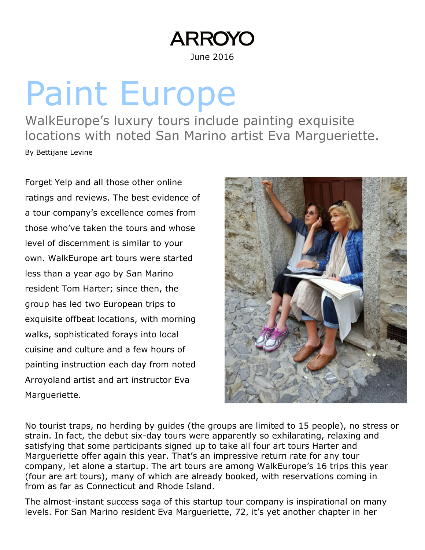## **ARROYC**

June 2016

## Paint Europe

WalkEurope's luxury tours include painting exquisite locations with noted San Marino artist Eva Margueriette. By Bettijane Levine

Forget Yelp and all those other online ratings and reviews. The best evidence of a tour company's excellence comes from those who've taken the tours and whose level of discernment is similar to your own. WalkEurope art tours were started less than a year ago by San Marino resident Tom Harter; since then, the group has led two European trips to exquisite offbeat locations, with morning walks, sophisticated forays into local cuisine and culture and a few hours of painting instruction each day from noted Arroyoland artist and art instructor Eva Margueriette.



No tourist traps, no herding by guides (the groups are limited to 15 people), no stress or strain. In fact, the debut six-day tours were apparently so exhilarating, relaxing and satisfying that some participants signed up to take all four art tours Harter and Margueriette offer again this year. That's an impressive return rate for any tour company, let alone a startup. The art tours are among WalkEurope's 16 trips this year (four are art tours), many of which are already booked, with reservations coming in from as far as Connecticut and Rhode Island.

The almost-instant success saga of this startup tour company is inspirational on many levels. For San Marino resident Eva Margueriette, 72, it's yet another chapter in her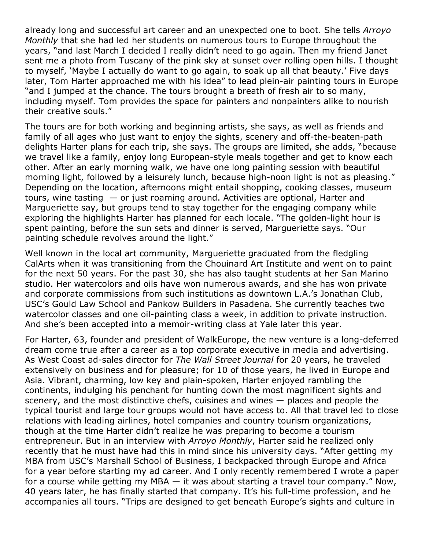already long and successful art career and an unexpected one to boot. She tells Arroyo Monthly that she had led her students on numerous tours to Europe throughout the years, "and last March I decided I really didn't need to go again. Then my friend Janet sent me a photo from Tuscany of the pink sky at sunset over rolling open hills. I thought to myself, 'Maybe I actually do want to go again, to soak up all that beauty.' Five days later, Tom Harter approached me with his idea" to lead plein-air painting tours in Europe "and I jumped at the chance. The tours brought a breath of fresh air to so many, including myself. Tom provides the space for painters and nonpainters alike to nourish their creative souls."

The tours are for both working and beginning artists, she says, as well as friends and family of all ages who just want to enjoy the sights, scenery and off-the-beaten-path delights Harter plans for each trip, she says. The groups are limited, she adds, "because we travel like a family, enjoy long European-style meals together and get to know each other. After an early morning walk, we have one long painting session with beautiful morning light, followed by a leisurely lunch, because high-noon light is not as pleasing." Depending on the location, afternoons might entail shopping, cooking classes, museum tours, wine tasting  $-$  or just roaming around. Activities are optional, Harter and Margueriette say, but groups tend to stay together for the engaging company while exploring the highlights Harter has planned for each locale. "The golden-light hour is spent painting, before the sun sets and dinner is served, Margueriette says. "Our painting schedule revolves around the light."

Well known in the local art community, Margueriette graduated from the fledgling CalArts when it was transitioning from the Chouinard Art Institute and went on to paint for the next 50 years. For the past 30, she has also taught students at her San Marino studio. Her watercolors and oils have won numerous awards, and she has won private and corporate commissions from such institutions as downtown L.A.'s Jonathan Club, USC's Gould Law School and Pankow Builders in Pasadena. She currently teaches two watercolor classes and one oil-painting class a week, in addition to private instruction. And she's been accepted into a memoir-writing class at Yale later this year.

For Harter, 63, founder and president of WalkEurope, the new venture is a long-deferred dream come true after a career as a top corporate executive in media and advertising. As West Coast ad-sales director for The Wall Street Journal for 20 years, he traveled extensively on business and for pleasure; for 10 of those years, he lived in Europe and Asia. Vibrant, charming, low key and plain-spoken, Harter enjoyed rambling the continents, indulging his penchant for hunting down the most magnificent sights and scenery, and the most distinctive chefs, cuisines and wines — places and people the typical tourist and large tour groups would not have access to. All that travel led to close relations with leading airlines, hotel companies and country tourism organizations, though at the time Harter didn't realize he was preparing to become a tourism entrepreneur. But in an interview with Arroyo Monthly, Harter said he realized only recently that he must have had this in mind since his university days. "After getting my MBA from USC's Marshall School of Business, I backpacked through Europe and Africa for a year before starting my ad career. And I only recently remembered I wrote a paper for a course while getting my MBA  $-$  it was about starting a travel tour company." Now, 40 years later, he has finally started that company. It's his full-time profession, and he accompanies all tours. "Trips are designed to get beneath Europe's sights and culture in